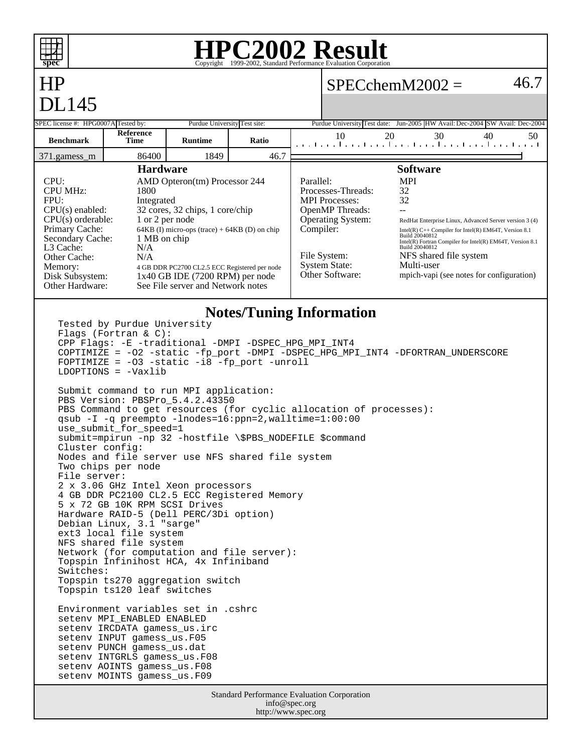

info@spec.org http://www.spec.org